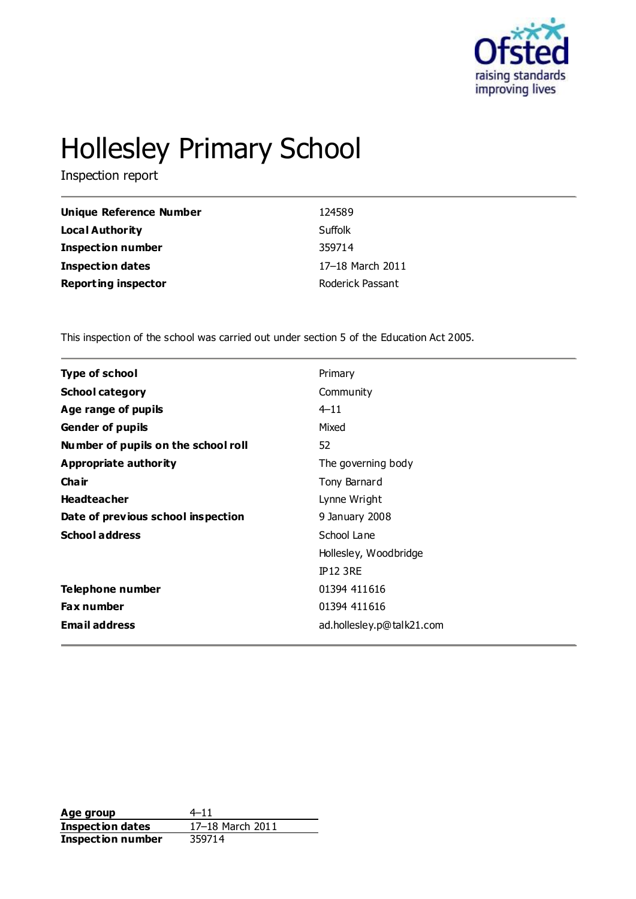

# Hollesley Primary School

Inspection report

| Unique Reference Number    | 124589           |
|----------------------------|------------------|
| Local Authority            | Suffolk          |
| <b>Inspection number</b>   | 359714           |
| Inspection dates           | 17-18 March 2011 |
| <b>Reporting inspector</b> | Roderick Passant |

This inspection of the school was carried out under section 5 of the Education Act 2005.

| <b>Type of school</b>               | Primary                   |  |
|-------------------------------------|---------------------------|--|
| <b>School category</b>              | Community                 |  |
| Age range of pupils                 | $4 - 11$                  |  |
| <b>Gender of pupils</b>             | Mixed                     |  |
| Number of pupils on the school roll | 52                        |  |
| <b>Appropriate authority</b>        | The governing body        |  |
| Cha ir                              | Tony Barnard              |  |
| <b>Headteacher</b>                  | Lynne Wright              |  |
| Date of previous school inspection  | 9 January 2008            |  |
| <b>School address</b>               | School Lane               |  |
|                                     | Hollesley, Woodbridge     |  |
|                                     | <b>IP12 3RE</b>           |  |
| Telephone number                    | 01394 411616              |  |
| <b>Fax number</b>                   | 01394 411616              |  |
| <b>Email address</b>                | ad.hollesley.p@talk21.com |  |
|                                     |                           |  |

**Age group** 4–11<br> **Inspection dates** 17–18 March 2011 **Inspection dates Inspection number** 359714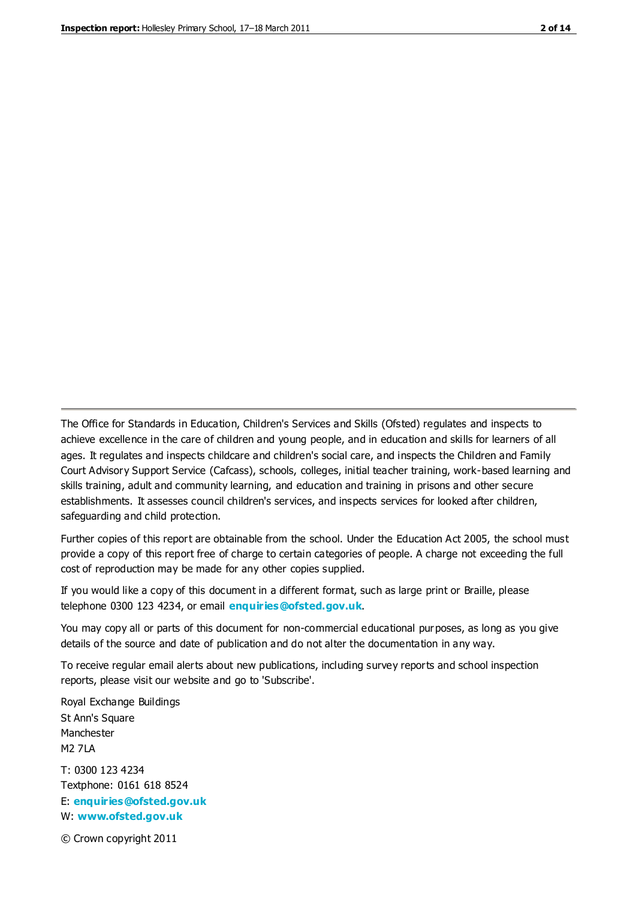The Office for Standards in Education, Children's Services and Skills (Ofsted) regulates and inspects to achieve excellence in the care of children and young people, and in education and skills for learners of all ages. It regulates and inspects childcare and children's social care, and inspects the Children and Family Court Advisory Support Service (Cafcass), schools, colleges, initial teacher training, work-based learning and skills training, adult and community learning, and education and training in prisons and other secure establishments. It assesses council children's services, and inspects services for looked after children, safeguarding and child protection.

Further copies of this report are obtainable from the school. Under the Education Act 2005, the school must provide a copy of this report free of charge to certain categories of people. A charge not exceeding the full cost of reproduction may be made for any other copies supplied.

If you would like a copy of this document in a different format, such as large print or Braille, please telephone 0300 123 4234, or email **[enquiries@ofsted.gov.uk](mailto:enquiries@ofsted.gov.uk)**.

You may copy all or parts of this document for non-commercial educational purposes, as long as you give details of the source and date of publication and do not alter the documentation in any way.

To receive regular email alerts about new publications, including survey reports and school inspection reports, please visit our website and go to 'Subscribe'.

Royal Exchange Buildings St Ann's Square Manchester M2 7LA T: 0300 123 4234 Textphone: 0161 618 8524 E: **[enquiries@ofsted.gov.uk](mailto:enquiries@ofsted.gov.uk)**

W: **[www.ofsted.gov.uk](http://www.ofsted.gov.uk/)**

© Crown copyright 2011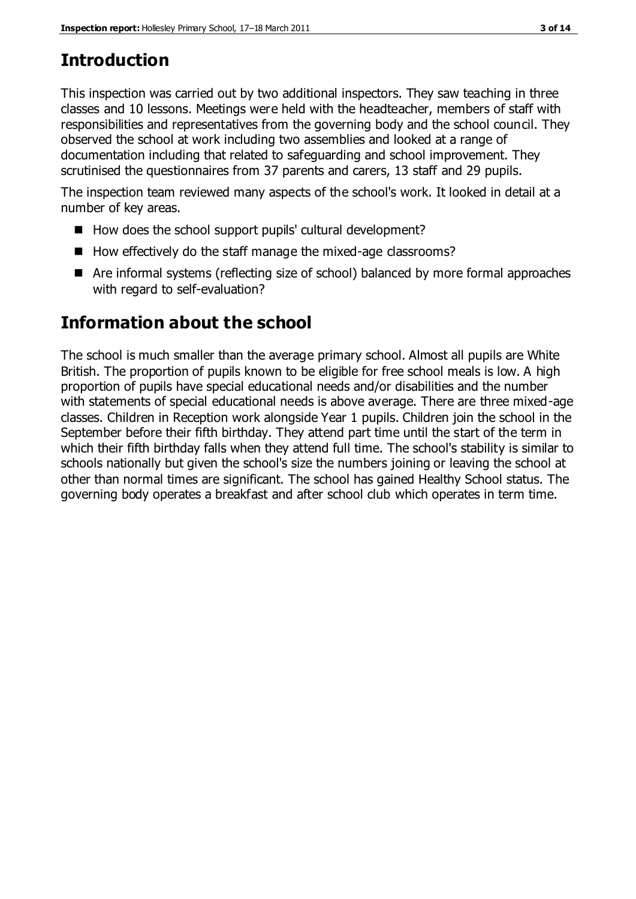## **Introduction**

This inspection was carried out by two additional inspectors. They saw teaching in three classes and 10 lessons. Meetings were held with the headteacher, members of staff with responsibilities and representatives from the governing body and the school council. They observed the school at work including two assemblies and looked at a range of documentation including that related to safeguarding and school improvement. They scrutinised the questionnaires from 37 parents and carers, 13 staff and 29 pupils.

The inspection team reviewed many aspects of the school's work. It looked in detail at a number of key areas.

- How does the school support pupils' cultural development?
- $\blacksquare$  How effectively do the staff manage the mixed-age classrooms?
- Are informal systems (reflecting size of school) balanced by more formal approaches with regard to self-evaluation?

## **Information about the school**

The school is much smaller than the average primary school. Almost all pupils are White British. The proportion of pupils known to be eligible for free school meals is low. A high proportion of pupils have special educational needs and/or disabilities and the number with statements of special educational needs is above average. There are three mixed-age classes. Children in Reception work alongside Year 1 pupils. Children join the school in the September before their fifth birthday. They attend part time until the start of the term in which their fifth birthday falls when they attend full time. The school's stability is similar to schools nationally but given the school's size the numbers joining or leaving the school at other than normal times are significant. The school has gained Healthy School status. The governing body operates a breakfast and after school club which operates in term time.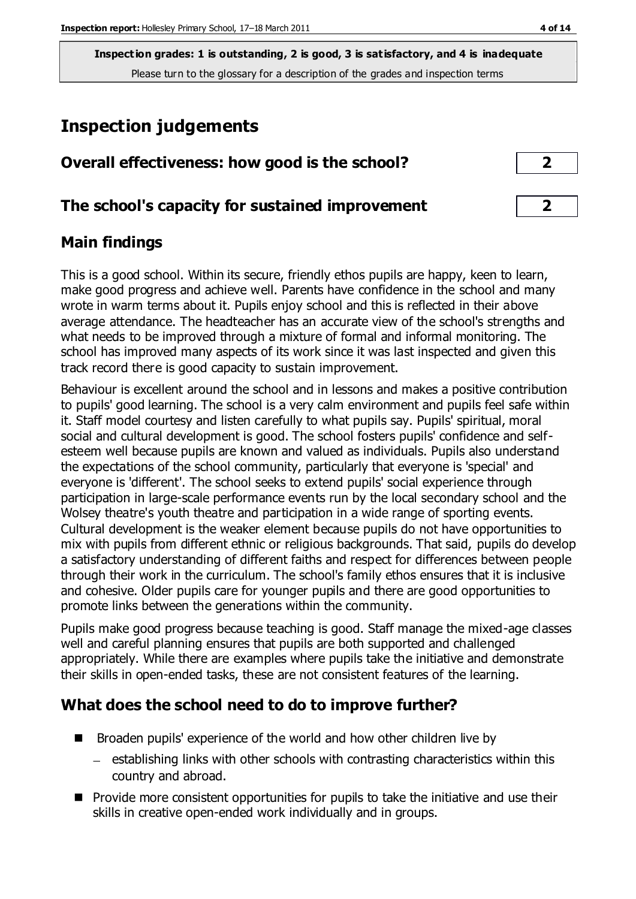## **Inspection judgements**

| Overall effectiveness: how good is the school?  |  |
|-------------------------------------------------|--|
|                                                 |  |
| The school's capacity for sustained improvement |  |

## **Main findings**

This is a good school. Within its secure, friendly ethos pupils are happy, keen to learn, make good progress and achieve well. Parents have confidence in the school and many wrote in warm terms about it. Pupils enjoy school and this is reflected in their above average attendance. The headteacher has an accurate view of the school's strengths and what needs to be improved through a mixture of formal and informal monitoring. The school has improved many aspects of its work since it was last inspected and given this track record there is good capacity to sustain improvement.

Behaviour is excellent around the school and in lessons and makes a positive contribution to pupils' good learning. The school is a very calm environment and pupils feel safe within it. Staff model courtesy and listen carefully to what pupils say. Pupils' spiritual, moral social and cultural development is good. The school fosters pupils' confidence and selfesteem well because pupils are known and valued as individuals. Pupils also understand the expectations of the school community, particularly that everyone is 'special' and everyone is 'different'. The school seeks to extend pupils' social experience through participation in large-scale performance events run by the local secondary school and the Wolsey theatre's youth theatre and participation in a wide range of sporting events. Cultural development is the weaker element because pupils do not have opportunities to mix with pupils from different ethnic or religious backgrounds. That said, pupils do develop a satisfactory understanding of different faiths and respect for differences between people through their work in the curriculum. The school's family ethos ensures that it is inclusive and cohesive. Older pupils care for younger pupils and there are good opportunities to promote links between the generations within the community.

Pupils make good progress because teaching is good. Staff manage the mixed-age classes well and careful planning ensures that pupils are both supported and challenged appropriately. While there are examples where pupils take the initiative and demonstrate their skills in open-ended tasks, these are not consistent features of the learning.

## **What does the school need to do to improve further?**

- Broaden pupils' experience of the world and how other children live by
	- establishing links with other schools with contrasting characteristics within this country and abroad.
- **Provide more consistent opportunities for pupils to take the initiative and use their** skills in creative open-ended work individually and in groups.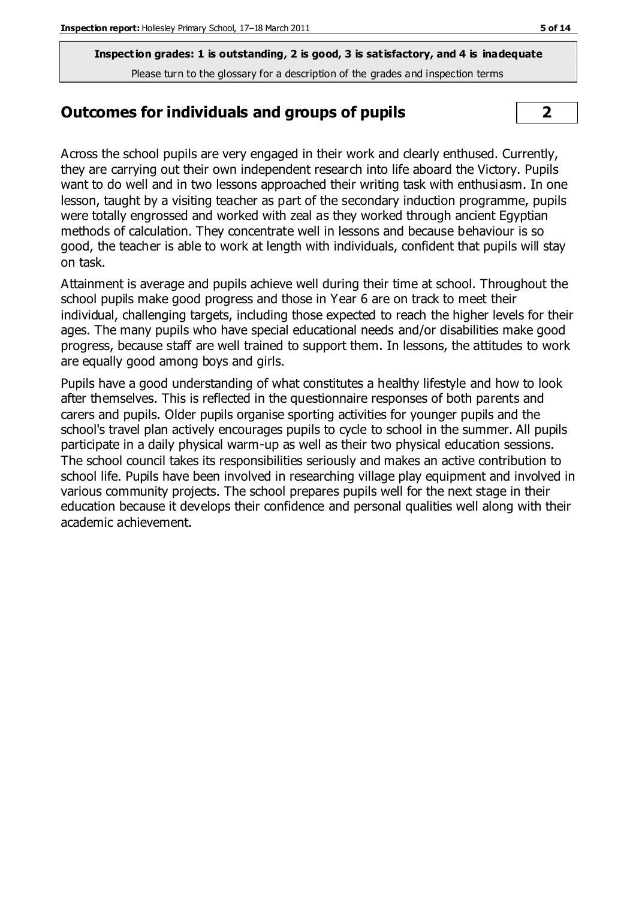## **Outcomes for individuals and groups of pupils 2**

Across the school pupils are very engaged in their work and clearly enthused. Currently, they are carrying out their own independent research into life aboard the Victory. Pupils want to do well and in two lessons approached their writing task with enthusiasm. In one lesson, taught by a visiting teacher as part of the secondary induction programme, pupils were totally engrossed and worked with zeal as they worked through ancient Egyptian methods of calculation. They concentrate well in lessons and because behaviour is so good, the teacher is able to work at length with individuals, confident that pupils will stay on task.

Attainment is average and pupils achieve well during their time at school. Throughout the school pupils make good progress and those in Year 6 are on track to meet their individual, challenging targets, including those expected to reach the higher levels for their ages. The many pupils who have special educational needs and/or disabilities make good progress, because staff are well trained to support them. In lessons, the attitudes to work are equally good among boys and girls.

Pupils have a good understanding of what constitutes a healthy lifestyle and how to look after themselves. This is reflected in the questionnaire responses of both parents and carers and pupils. Older pupils organise sporting activities for younger pupils and the school's travel plan actively encourages pupils to cycle to school in the summer. All pupils participate in a daily physical warm-up as well as their two physical education sessions. The school council takes its responsibilities seriously and makes an active contribution to school life. Pupils have been involved in researching village play equipment and involved in various community projects. The school prepares pupils well for the next stage in their education because it develops their confidence and personal qualities well along with their academic achievement.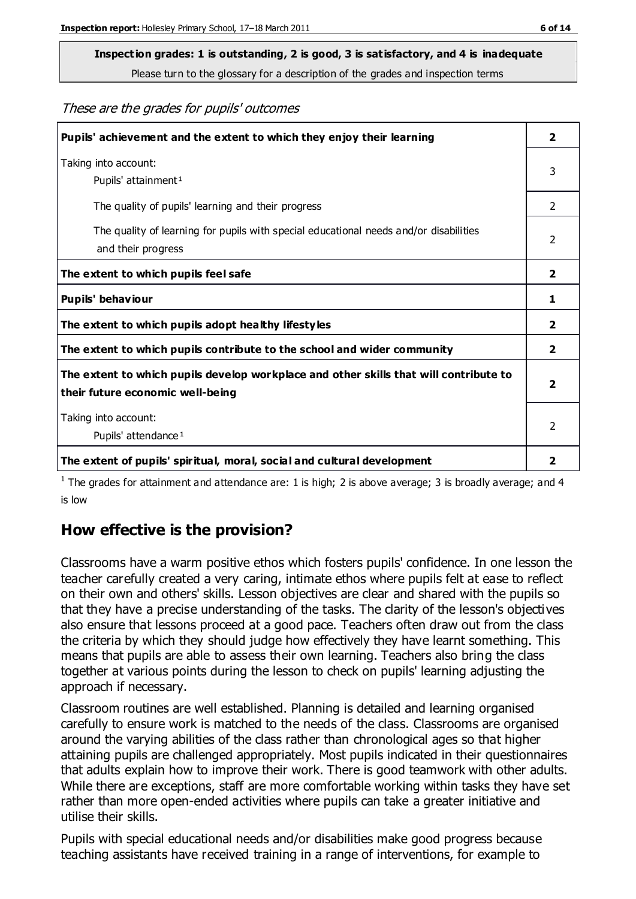## **Inspection grades: 1 is outstanding, 2 is good, 3 is satisfactory, and 4 is inadequate**

Please turn to the glossary for a description of the grades and inspection terms

These are the grades for pupils' outcomes

| Pupils' achievement and the extent to which they enjoy their learning                                                     | $\overline{2}$          |
|---------------------------------------------------------------------------------------------------------------------------|-------------------------|
| Taking into account:<br>Pupils' attainment <sup>1</sup>                                                                   | 3                       |
| The quality of pupils' learning and their progress                                                                        | $\mathcal{P}$           |
| The quality of learning for pupils with special educational needs and/or disabilities<br>and their progress               | 2                       |
| The extent to which pupils feel safe                                                                                      | $\overline{2}$          |
| Pupils' behaviour                                                                                                         | 1                       |
| The extent to which pupils adopt healthy lifestyles                                                                       | 2                       |
| The extent to which pupils contribute to the school and wider community                                                   | $\mathbf{2}$            |
| The extent to which pupils develop workplace and other skills that will contribute to<br>their future economic well-being | $\overline{\mathbf{2}}$ |
| Taking into account:<br>Pupils' attendance <sup>1</sup>                                                                   | $\mathfrak{D}$          |
| The extent of pupils' spiritual, moral, social and cultural development                                                   | 2                       |

<sup>1</sup> The grades for attainment and attendance are: 1 is high; 2 is above average; 3 is broadly average; and 4 is low

## **How effective is the provision?**

Classrooms have a warm positive ethos which fosters pupils' confidence. In one lesson the teacher carefully created a very caring, intimate ethos where pupils felt at ease to reflect on their own and others' skills. Lesson objectives are clear and shared with the pupils so that they have a precise understanding of the tasks. The clarity of the lesson's objectives also ensure that lessons proceed at a good pace. Teachers often draw out from the class the criteria by which they should judge how effectively they have learnt something. This means that pupils are able to assess their own learning. Teachers also bring the class together at various points during the lesson to check on pupils' learning adjusting the approach if necessary.

Classroom routines are well established. Planning is detailed and learning organised carefully to ensure work is matched to the needs of the class. Classrooms are organised around the varying abilities of the class rather than chronological ages so that higher attaining pupils are challenged appropriately. Most pupils indicated in their questionnaires that adults explain how to improve their work. There is good teamwork with other adults. While there are exceptions, staff are more comfortable working within tasks they have set rather than more open-ended activities where pupils can take a greater initiative and utilise their skills.

Pupils with special educational needs and/or disabilities make good progress because teaching assistants have received training in a range of interventions, for example to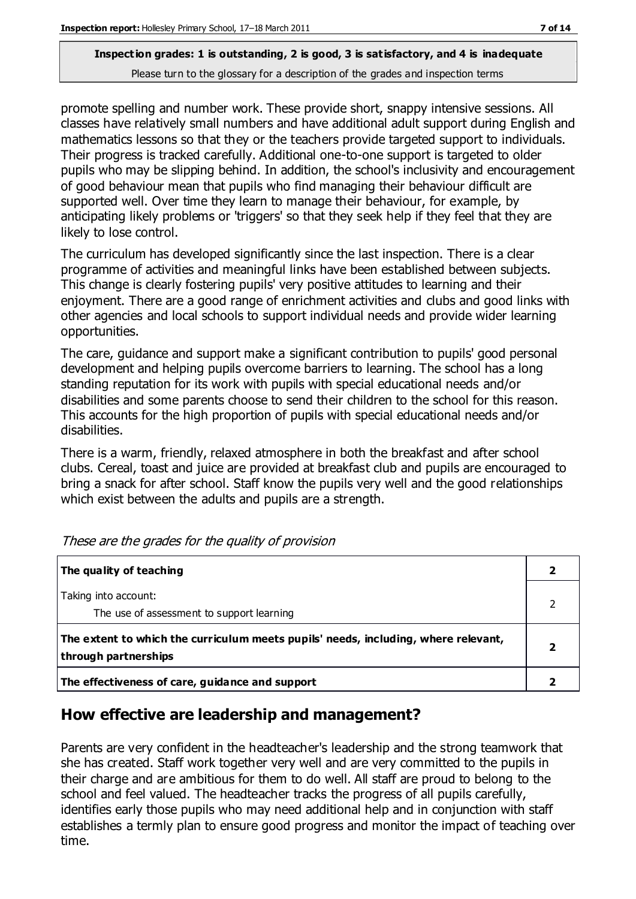promote spelling and number work. These provide short, snappy intensive sessions. All classes have relatively small numbers and have additional adult support during English and mathematics lessons so that they or the teachers provide targeted support to individuals. Their progress is tracked carefully. Additional one-to-one support is targeted to older pupils who may be slipping behind. In addition, the school's inclusivity and encouragement of good behaviour mean that pupils who find managing their behaviour difficult are supported well. Over time they learn to manage their behaviour, for example, by anticipating likely problems or 'triggers' so that they seek help if they feel that they are likely to lose control.

The curriculum has developed significantly since the last inspection. There is a clear programme of activities and meaningful links have been established between subjects. This change is clearly fostering pupils' very positive attitudes to learning and their enjoyment. There are a good range of enrichment activities and clubs and good links with other agencies and local schools to support individual needs and provide wider learning opportunities.

The care, guidance and support make a significant contribution to pupils' good personal development and helping pupils overcome barriers to learning. The school has a long standing reputation for its work with pupils with special educational needs and/or disabilities and some parents choose to send their children to the school for this reason. This accounts for the high proportion of pupils with special educational needs and/or disabilities.

There is a warm, friendly, relaxed atmosphere in both the breakfast and after school clubs. Cereal, toast and juice are provided at breakfast club and pupils are encouraged to bring a snack for after school. Staff know the pupils very well and the good relationships which exist between the adults and pupils are a strength.

| The quality of teaching                                                                                    |  |
|------------------------------------------------------------------------------------------------------------|--|
| Taking into account:<br>The use of assessment to support learning                                          |  |
| The extent to which the curriculum meets pupils' needs, including, where relevant,<br>through partnerships |  |
| The effectiveness of care, guidance and support                                                            |  |

These are the grades for the quality of provision

## **How effective are leadership and management?**

Parents are very confident in the headteacher's leadership and the strong teamwork that she has created. Staff work together very well and are very committed to the pupils in their charge and are ambitious for them to do well. All staff are proud to belong to the school and feel valued. The headteacher tracks the progress of all pupils carefully, identifies early those pupils who may need additional help and in conjunction with staff establishes a termly plan to ensure good progress and monitor the impact of teaching over time.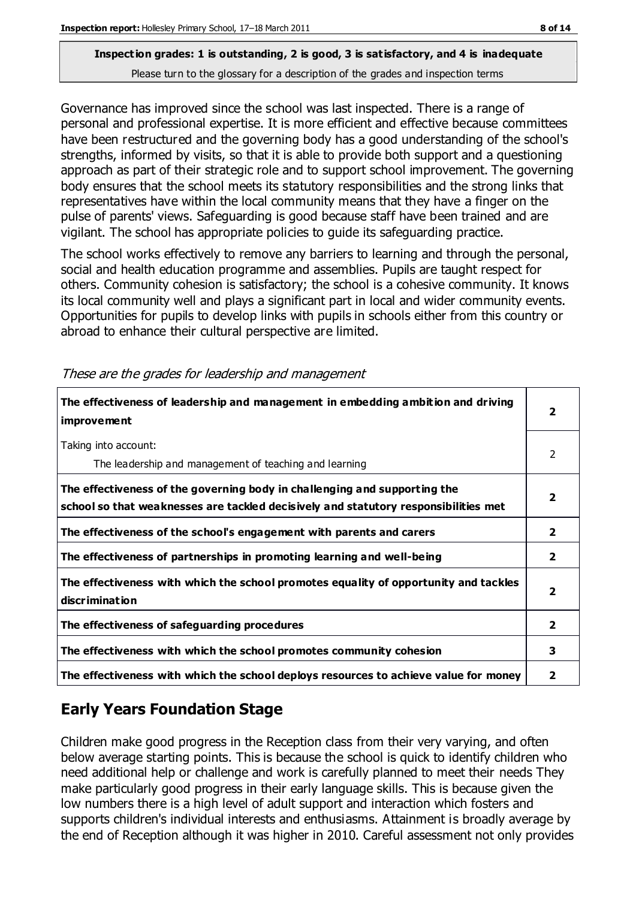Governance has improved since the school was last inspected. There is a range of personal and professional expertise. It is more efficient and effective because committees have been restructured and the governing body has a good understanding of the school's strengths, informed by visits, so that it is able to provide both support and a questioning approach as part of their strategic role and to support school improvement. The governing body ensures that the school meets its statutory responsibilities and the strong links that representatives have within the local community means that they have a finger on the pulse of parents' views. Safeguarding is good because staff have been trained and are vigilant. The school has appropriate policies to guide its safeguarding practice.

The school works effectively to remove any barriers to learning and through the personal, social and health education programme and assemblies. Pupils are taught respect for others. Community cohesion is satisfactory; the school is a cohesive community. It knows its local community well and plays a significant part in local and wider community events. Opportunities for pupils to develop links with pupils in schools either from this country or abroad to enhance their cultural perspective are limited.

| The effectiveness of leadership and management in embedding ambition and driving<br><i>improvement</i>                                                           | 2                       |
|------------------------------------------------------------------------------------------------------------------------------------------------------------------|-------------------------|
| Taking into account:<br>The leadership and management of teaching and learning                                                                                   | $\mathcal{P}$           |
| The effectiveness of the governing body in challenging and supporting the<br>school so that weaknesses are tackled decisively and statutory responsibilities met | 2                       |
| The effectiveness of the school's engagement with parents and carers                                                                                             | 2                       |
| The effectiveness of partnerships in promoting learning and well-being                                                                                           | $\overline{2}$          |
| The effectiveness with which the school promotes equality of opportunity and tackles<br>discrimination                                                           | $\overline{\mathbf{2}}$ |
| The effectiveness of safeguarding procedures                                                                                                                     | $\overline{2}$          |
| The effectiveness with which the school promotes community cohesion                                                                                              | 3                       |
| The effectiveness with which the school deploys resources to achieve value for money                                                                             | 2                       |

These are the grades for leadership and management

## **Early Years Foundation Stage**

Children make good progress in the Reception class from their very varying, and often below average starting points. This is because the school is quick to identify children who need additional help or challenge and work is carefully planned to meet their needs They make particularly good progress in their early language skills. This is because given the low numbers there is a high level of adult support and interaction which fosters and supports children's individual interests and enthusiasms. Attainment is broadly average by the end of Reception although it was higher in 2010. Careful assessment not only provides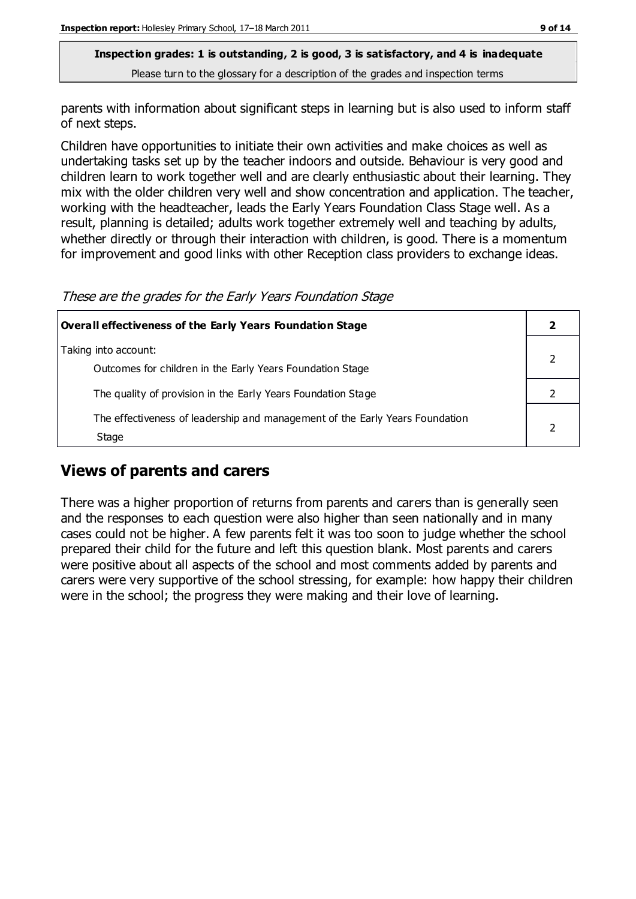parents with information about significant steps in learning but is also used to inform staff of next steps.

Children have opportunities to initiate their own activities and make choices as well as undertaking tasks set up by the teacher indoors and outside. Behaviour is very good and children learn to work together well and are clearly enthusiastic about their learning. They mix with the older children very well and show concentration and application. The teacher, working with the headteacher, leads the Early Years Foundation Class Stage well. As a result, planning is detailed; adults work together extremely well and teaching by adults, whether directly or through their interaction with children, is good. There is a momentum for improvement and good links with other Reception class providers to exchange ideas.

These are the grades for the Early Years Foundation Stage

| Overall effectiveness of the Early Years Foundation Stage                             |  |
|---------------------------------------------------------------------------------------|--|
| Taking into account:<br>Outcomes for children in the Early Years Foundation Stage     |  |
| The quality of provision in the Early Years Foundation Stage                          |  |
| The effectiveness of leadership and management of the Early Years Foundation<br>Stage |  |

## **Views of parents and carers**

There was a higher proportion of returns from parents and carers than is generally seen and the responses to each question were also higher than seen nationally and in many cases could not be higher. A few parents felt it was too soon to judge whether the school prepared their child for the future and left this question blank. Most parents and carers were positive about all aspects of the school and most comments added by parents and carers were very supportive of the school stressing, for example: how happy their children were in the school; the progress they were making and their love of learning.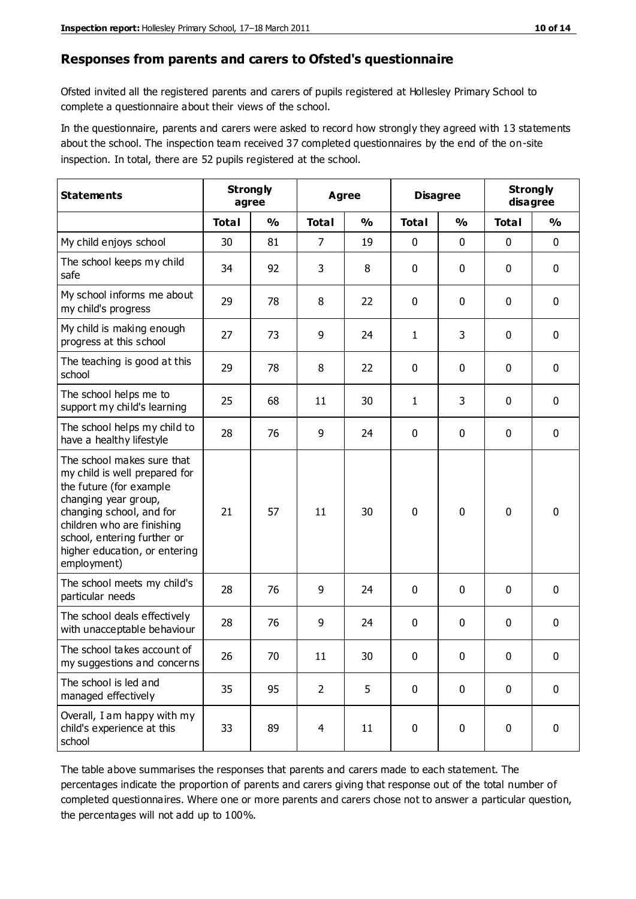#### **Responses from parents and carers to Ofsted's questionnaire**

Ofsted invited all the registered parents and carers of pupils registered at Hollesley Primary School to complete a questionnaire about their views of the school.

In the questionnaire, parents and carers were asked to record how strongly they agreed with 13 statements about the school. The inspection team received 37 completed questionnaires by the end of the on-site inspection. In total, there are 52 pupils registered at the school.

| <b>Statements</b>                                                                                                                                                                                                                                       | <b>Strongly</b><br>agree |               | <b>Agree</b>   |               |              | <b>Disagree</b> |              | <b>Strongly</b><br>disagree |  |
|---------------------------------------------------------------------------------------------------------------------------------------------------------------------------------------------------------------------------------------------------------|--------------------------|---------------|----------------|---------------|--------------|-----------------|--------------|-----------------------------|--|
|                                                                                                                                                                                                                                                         | <b>Total</b>             | $\frac{1}{2}$ | <b>Total</b>   | $\frac{1}{2}$ | <b>Total</b> | $\frac{1}{2}$   | <b>Total</b> | $\frac{1}{2}$               |  |
| My child enjoys school                                                                                                                                                                                                                                  | 30                       | 81            | 7              | 19            | 0            | 0               | 0            | $\mathbf 0$                 |  |
| The school keeps my child<br>safe                                                                                                                                                                                                                       | 34                       | 92            | 3              | 8             | 0            | 0               | 0            | $\pmb{0}$                   |  |
| My school informs me about<br>my child's progress                                                                                                                                                                                                       | 29                       | 78            | 8              | 22            | 0            | $\mathbf 0$     | $\mathbf 0$  | $\mathbf 0$                 |  |
| My child is making enough<br>progress at this school                                                                                                                                                                                                    | 27                       | 73            | 9              | 24            | $\mathbf{1}$ | 3               | $\mathbf 0$  | $\mathbf 0$                 |  |
| The teaching is good at this<br>school                                                                                                                                                                                                                  | 29                       | 78            | 8              | 22            | 0            | 0               | 0            | $\pmb{0}$                   |  |
| The school helps me to<br>support my child's learning                                                                                                                                                                                                   | 25                       | 68            | 11             | 30            | $\mathbf{1}$ | 3               | $\mathbf 0$  | $\mathbf 0$                 |  |
| The school helps my child to<br>have a healthy lifestyle                                                                                                                                                                                                | 28                       | 76            | 9              | 24            | 0            | $\mathbf 0$     | 0            | $\pmb{0}$                   |  |
| The school makes sure that<br>my child is well prepared for<br>the future (for example<br>changing year group,<br>changing school, and for<br>children who are finishing<br>school, entering further or<br>higher education, or entering<br>employment) | 21                       | 57            | 11             | 30            | $\mathbf 0$  | $\mathbf{0}$    | $\mathbf{0}$ | $\mathbf 0$                 |  |
| The school meets my child's<br>particular needs                                                                                                                                                                                                         | 28                       | 76            | 9              | 24            | 0            | $\mathbf{0}$    | $\mathbf 0$  | $\mathbf 0$                 |  |
| The school deals effectively<br>with unacceptable behaviour                                                                                                                                                                                             | 28                       | 76            | 9              | 24            | 0            | 0               | 0            | $\pmb{0}$                   |  |
| The school takes account of<br>my suggestions and concerns                                                                                                                                                                                              | 26                       | 70            | 11             | 30            | 0            | $\pmb{0}$       | 0            | 0                           |  |
| The school is led and<br>managed effectively                                                                                                                                                                                                            | 35                       | 95            | $\overline{2}$ | 5             | $\mathbf 0$  | $\mathbf 0$     | $\mathbf 0$  | $\mathbf 0$                 |  |
| Overall, I am happy with my<br>child's experience at this<br>school                                                                                                                                                                                     | 33                       | 89            | 4              | 11            | $\pmb{0}$    | $\mathbf 0$     | 0            | $\mathbf 0$                 |  |

The table above summarises the responses that parents and carers made to each statement. The percentages indicate the proportion of parents and carers giving that response out of the total number of completed questionnaires. Where one or more parents and carers chose not to answer a particular question, the percentages will not add up to 100%.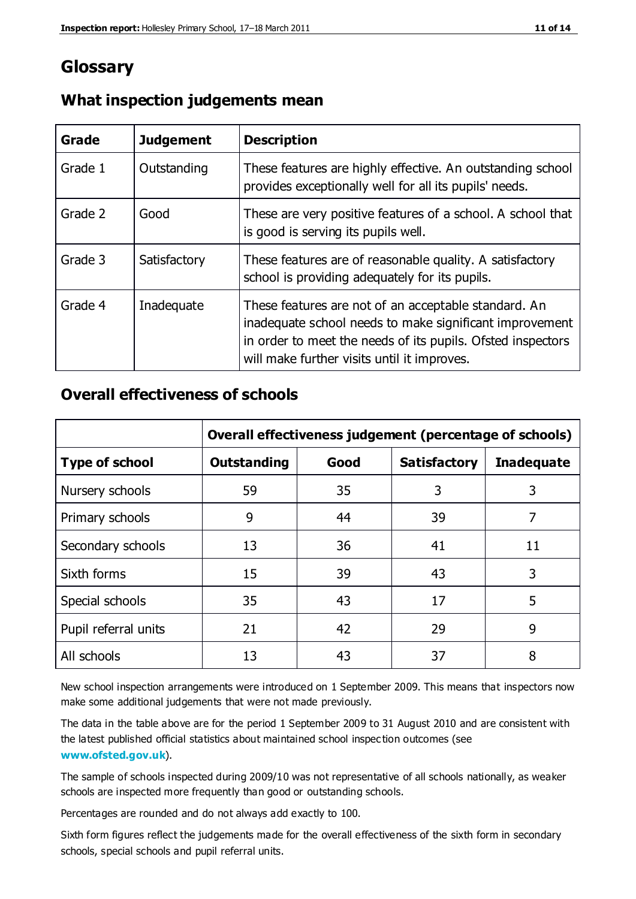## **Glossary**

| Grade   | <b>Judgement</b> | <b>Description</b>                                                                                                                                                                                                            |
|---------|------------------|-------------------------------------------------------------------------------------------------------------------------------------------------------------------------------------------------------------------------------|
| Grade 1 | Outstanding      | These features are highly effective. An outstanding school<br>provides exceptionally well for all its pupils' needs.                                                                                                          |
| Grade 2 | Good             | These are very positive features of a school. A school that<br>is good is serving its pupils well.                                                                                                                            |
| Grade 3 | Satisfactory     | These features are of reasonable quality. A satisfactory<br>school is providing adequately for its pupils.                                                                                                                    |
| Grade 4 | Inadequate       | These features are not of an acceptable standard. An<br>inadequate school needs to make significant improvement<br>in order to meet the needs of its pupils. Ofsted inspectors<br>will make further visits until it improves. |

#### **What inspection judgements mean**

### **Overall effectiveness of schools**

|                       | Overall effectiveness judgement (percentage of schools) |      |                     |                   |
|-----------------------|---------------------------------------------------------|------|---------------------|-------------------|
| <b>Type of school</b> | <b>Outstanding</b>                                      | Good | <b>Satisfactory</b> | <b>Inadequate</b> |
| Nursery schools       | 59                                                      | 35   | 3                   | 3                 |
| Primary schools       | 9                                                       | 44   | 39                  | 7                 |
| Secondary schools     | 13                                                      | 36   | 41                  | 11                |
| Sixth forms           | 15                                                      | 39   | 43                  | 3                 |
| Special schools       | 35                                                      | 43   | 17                  | 5                 |
| Pupil referral units  | 21                                                      | 42   | 29                  | 9                 |
| All schools           | 13                                                      | 43   | 37                  | 8                 |

New school inspection arrangements were introduced on 1 September 2009. This means that inspectors now make some additional judgements that were not made previously.

The data in the table above are for the period 1 September 2009 to 31 August 2010 and are consistent with the latest published official statistics about maintained school inspec tion outcomes (see **[www.ofsted.gov.uk](http://www.ofsted.gov.uk/)**).

The sample of schools inspected during 2009/10 was not representative of all schools nationally, as weaker schools are inspected more frequently than good or outstanding schools.

Percentages are rounded and do not always add exactly to 100.

Sixth form figures reflect the judgements made for the overall effectiveness of the sixth form in secondary schools, special schools and pupil referral units.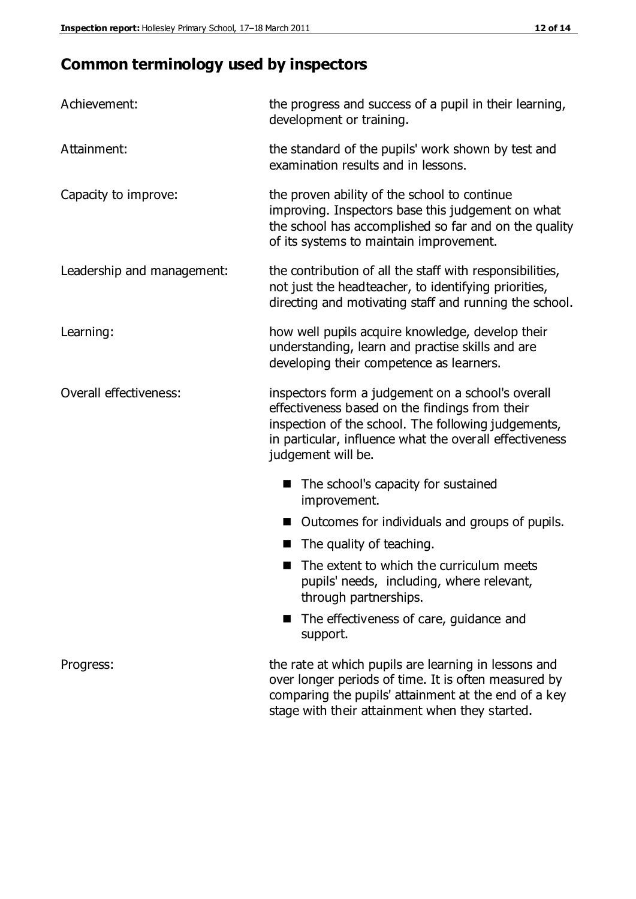## **Common terminology used by inspectors**

| Achievement:               | the progress and success of a pupil in their learning,<br>development or training.                                                                                                                                                          |  |  |
|----------------------------|---------------------------------------------------------------------------------------------------------------------------------------------------------------------------------------------------------------------------------------------|--|--|
| Attainment:                | the standard of the pupils' work shown by test and<br>examination results and in lessons.                                                                                                                                                   |  |  |
| Capacity to improve:       | the proven ability of the school to continue<br>improving. Inspectors base this judgement on what<br>the school has accomplished so far and on the quality<br>of its systems to maintain improvement.                                       |  |  |
| Leadership and management: | the contribution of all the staff with responsibilities,<br>not just the headteacher, to identifying priorities,<br>directing and motivating staff and running the school.                                                                  |  |  |
| Learning:                  | how well pupils acquire knowledge, develop their<br>understanding, learn and practise skills and are<br>developing their competence as learners.                                                                                            |  |  |
| Overall effectiveness:     | inspectors form a judgement on a school's overall<br>effectiveness based on the findings from their<br>inspection of the school. The following judgements,<br>in particular, influence what the overall effectiveness<br>judgement will be. |  |  |
|                            | The school's capacity for sustained<br>improvement.                                                                                                                                                                                         |  |  |
|                            | Outcomes for individuals and groups of pupils.                                                                                                                                                                                              |  |  |
|                            | The quality of teaching.                                                                                                                                                                                                                    |  |  |
|                            | The extent to which the curriculum meets<br>pupils' needs, including, where relevant,<br>through partnerships.                                                                                                                              |  |  |
|                            | The effectiveness of care, guidance and<br>support.                                                                                                                                                                                         |  |  |
| Progress:                  | the rate at which pupils are learning in lessons and<br>over longer periods of time. It is often measured by<br>comparing the pupils' attainment at the end of a key                                                                        |  |  |

stage with their attainment when they started.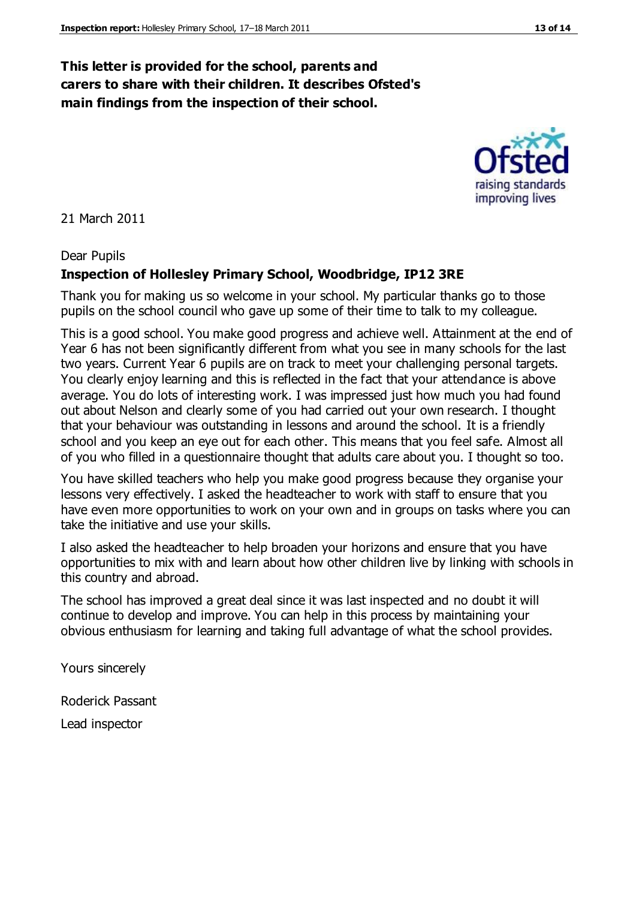## **This letter is provided for the school, parents and carers to share with their children. It describes Ofsted's main findings from the inspection of their school.**

21 March 2011

#### Dear Pupils

#### **Inspection of Hollesley Primary School, Woodbridge, IP12 3RE**

Thank you for making us so welcome in your school. My particular thanks go to those pupils on the school council who gave up some of their time to talk to my colleague.

This is a good school. You make good progress and achieve well. Attainment at the end of Year 6 has not been significantly different from what you see in many schools for the last two years. Current Year 6 pupils are on track to meet your challenging personal targets. You clearly enjoy learning and this is reflected in the fact that your attendance is above average. You do lots of interesting work. I was impressed just how much you had found out about Nelson and clearly some of you had carried out your own research. I thought that your behaviour was outstanding in lessons and around the school. It is a friendly school and you keep an eye out for each other. This means that you feel safe. Almost all of you who filled in a questionnaire thought that adults care about you. I thought so too.

You have skilled teachers who help you make good progress because they organise your lessons very effectively. I asked the headteacher to work with staff to ensure that you have even more opportunities to work on your own and in groups on tasks where you can take the initiative and use your skills.

I also asked the headteacher to help broaden your horizons and ensure that you have opportunities to mix with and learn about how other children live by linking with schools in this country and abroad.

The school has improved a great deal since it was last inspected and no doubt it will continue to develop and improve. You can help in this process by maintaining your obvious enthusiasm for learning and taking full advantage of what the school provides.

Yours sincerely

Roderick Passant

Lead inspector